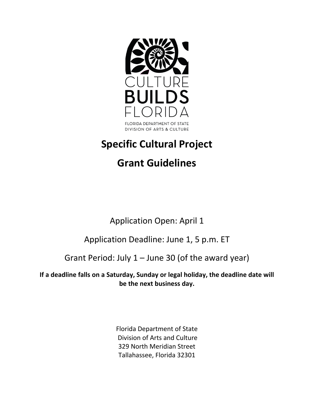

Florida Department of State Division of Arts and Culture 329 North Meridian Street Tallahassee, Florida 32301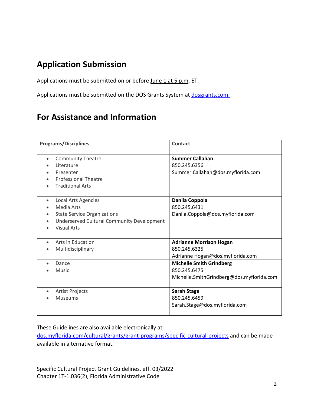## **Application Submission**

Applications must be submitted on or before June 1 at 5 p.m. ET.

Applications must be submitted on the DOS Grants System at dosgrants.com.

## **For Assistance and Information**

| <b>Programs/Disciplines</b>                             | <b>Contact</b>                            |
|---------------------------------------------------------|-------------------------------------------|
|                                                         |                                           |
| <b>Community Theatre</b><br>$\bullet$                   | <b>Summer Callahan</b>                    |
| Literature                                              | 850.245.6356                              |
| Presenter                                               | Summer.Callahan@dos.myflorida.com         |
| <b>Professional Theatre</b><br>$\bullet$                |                                           |
| <b>Traditional Arts</b>                                 |                                           |
| Local Arts Agencies<br>$\bullet$                        | Danila Coppola                            |
| Media Arts<br>$\bullet$                                 | 850.245.6431                              |
| <b>State Service Organizations</b><br>$\bullet$         | Danila.Coppola@dos.myflorida.com          |
| Underserved Cultural Community Development<br>$\bullet$ |                                           |
| <b>Visual Arts</b>                                      |                                           |
|                                                         |                                           |
| Arts in Education<br>$\bullet$                          | <b>Adrianne Morrison Hogan</b>            |
| Multidisciplinary                                       | 850.245.6325                              |
|                                                         | Adrianne Hogan@dos.myflorida.com          |
| Dance                                                   | <b>Michelle Smith Grindberg</b>           |
| <b>Music</b>                                            | 850.245.6475                              |
|                                                         | Michelle.SmithGrindberg@dos.myflorida.com |
|                                                         |                                           |
| Artist Projects<br>$\bullet$                            | <b>Sarah Stage</b>                        |
| <b>Museums</b>                                          | 850.245.6459                              |
|                                                         | Sarah.Stage@dos.myflorida.com             |
|                                                         |                                           |

These Guidelines are also available electronically at:

[dos.myflorida.com/cultural/grants/grant-programs/specific-cultural-projects](http://dos.myflorida.com/cultural/grants/grant-programs/specific-cultural-projects) and can be made available in alternative format.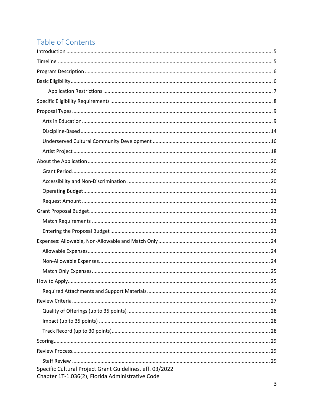# Table of Contents

| Specific Cultural Project Grant Guidelines, eff. 03/2022 |  |
|----------------------------------------------------------|--|
| Chapter 1T-1.036(2), Florida Administrative Code         |  |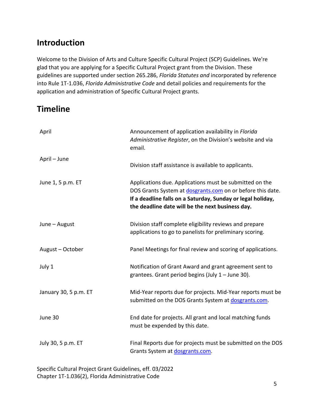# <span id="page-4-0"></span>**Introduction**

Welcome to the Division of Arts and Culture Specific Cultural Project (SCP) Guidelines. We're glad that you are applying for a Specific Cultural Project grant from the Division. These guidelines are supported under section 265.286, *Florida Statutes and* incorporated by reference into Rule 1T-1.036, *Florida Administrative Code* and detail policies and requirements for the application and administration of Specific Cultural Project grants.

# <span id="page-4-1"></span>**Timeline**

| April                 | Announcement of application availability in Florida<br>Administrative Register, on the Division's website and via<br>email.                                                                                                              |
|-----------------------|------------------------------------------------------------------------------------------------------------------------------------------------------------------------------------------------------------------------------------------|
| April - June          | Division staff assistance is available to applicants.                                                                                                                                                                                    |
| June 1, 5 p.m. ET     | Applications due. Applications must be submitted on the<br>DOS Grants System at dosgrants.com on or before this date.<br>If a deadline falls on a Saturday, Sunday or legal holiday,<br>the deadline date will be the next business day. |
| June - August         | Division staff complete eligibility reviews and prepare<br>applications to go to panelists for preliminary scoring.                                                                                                                      |
| August - October      | Panel Meetings for final review and scoring of applications.                                                                                                                                                                             |
| July 1                | Notification of Grant Award and grant agreement sent to<br>grantees. Grant period begins (July 1 - June 30).                                                                                                                             |
| January 30, 5 p.m. ET | Mid-Year reports due for projects. Mid-Year reports must be<br>submitted on the DOS Grants System at dosgrants.com.                                                                                                                      |
| June 30               | End date for projects. All grant and local matching funds<br>must be expended by this date.                                                                                                                                              |
| July 30, 5 p.m. ET    | Final Reports due for projects must be submitted on the DOS<br>Grants System at dosgrants.com.                                                                                                                                           |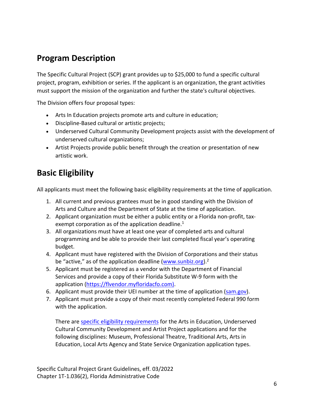## <span id="page-5-0"></span>**Program Description**

The Specific Cultural Project (SCP) grant provides up to \$25,000 to fund a specific cultural project, program, exhibition or series. If the applicant is an organization, the grant activities must support the mission of the organization and further the state's cultural objectives.

The Division offers four proposal types:

- Arts In Education projects promote arts and culture in education;
- Discipline-Based cultural or artistic projects;
- Underserved Cultural Community Development projects assist with the development of underserved cultural organizations;
- Artist Projects provide public benefit through the creation or presentation of new artistic work.

# <span id="page-5-1"></span>**Basic Eligibility**

All applicants must meet the following basic eligibility requirements at the time of application.

- 1. All current and previous grantees must be in good standing with the Division of Arts and Culture and the Department of State at the time of application.
- 2. Applicant organization must be either a public entity or a Florida non-profit, taxexempt corporation as of the application deadline. $1$
- 3. All organizations must have at least one year of completed arts and cultural programming and be able to provide their last completed fiscal year's operating budget.
- 4. Applicant must have registered with the Division of Corporations and their status be "active," as of the application deadline [\(www.sunbiz.org\)](http://www.sunbiz.org/).<sup>2</sup>
- 5. Applicant must be registered as a vendor with the Department of Financial Services and provide a copy of their Florida Substitute W-9 form with the application (https://flvendor.myfloridacfo.com).
- 6. Applicant must provide their UEI number at the time of application [\(sam.gov\)](https://sam.gov/content/home).
- 7. Applicant must provide a copy of their most recently completed Federal 990 form with the application.

There are specific eligibility requirements for the Arts in Education, Underserved Cultural Community Development and Artist Project applications and for the following disciplines: Museum, Professional Theatre, Traditional Arts, Arts in Education, Local Arts Agency and State Service Organization application types.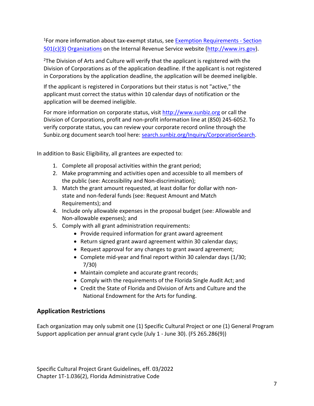<sup>1</sup>For more information about tax-exempt status, see **Exemption Requirements - Section** 501(c)(3) Organizations on the Internal Revenue Service website (http://www.irs.gov).

 $2$ The Division of Arts and Culture will verify that the applicant is registered with the Division of Corporations as of the application deadline. If the applicant is not registered in Corporations by the application deadline, the application will be deemed ineligible.

If the applicant is registered in Corporations but their status is not "active," the applicant must correct the status within 10 calendar days of notification or the application will be deemed ineligible.

For more information on corporate status, visit http://www.sunbiz.org or call the Division of Corporations, profit and non-profit information line at (850) 245-6052. To verify corporate status, you can review your corporate record online through the Sunbiz.org document search tool here: [search.sunbiz.org/Inquiry/CorporationSearch.](file://nvdos9shares01/dcashare/dcashare/RULES/2024%20Rule/GPS%20SCP/search.sunbiz.org/Inquiry/CorporationSearch)

In addition to Basic Eligibility, all grantees are expected to:

- 1. Complete all proposal activities within the grant period;
- 2. Make programming and activities open and accessible to all members of the public (see: Accessibility and Non-discrimination);
- 3. Match the grant amount requested, at least dollar for dollar with nonstate and non-federal funds (see: Request Amount and Match Requirements); and
- 4. Include only allowable expenses in the proposal budget (see: Allowable and Non-allowable expenses); and
- 5. Comply with all grant administration requirements:
	- Provide required information for grant award agreement
	- Return signed grant award agreement within 30 calendar days;
	- Request approval for any changes to grant award agreement;
	- Complete mid-year and final report within 30 calendar days (1/30; 7/30)
	- Maintain complete and accurate grant records;
	- Comply with the requirements of the Florida Single Audit Act; and
	- Credit the State of Florida and Division of Arts and Culture and the National Endowment for the Arts for funding.

## <span id="page-6-0"></span>**Application Restrictions**

Each organization may only submit one (1) Specific Cultural Project or one (1) General Program Support application per annual grant cycle (July 1 - June 30). (FS 265.286(9))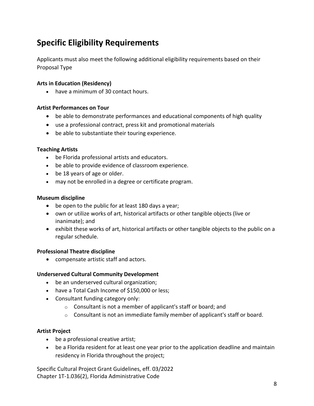# <span id="page-7-0"></span>**Specific Eligibility Requirements**

Applicants must also meet the following additional eligibility requirements based on their Proposal Type

### **Arts in Education (Residency)**

• have a minimum of 30 contact hours.

### **Artist Performances on Tour**

- be able to demonstrate performances and educational components of high quality
- use a professional contract, press kit and promotional materials
- be able to substantiate their touring experience.

### **Teaching Artists**

- be Florida professional artists and educators.
- be able to provide evidence of classroom experience.
- be 18 years of age or older.
- may not be enrolled in a degree or certificate program.

### **Museum discipline**

- be open to the public for at least 180 days a year;
- own or utilize works of art, historical artifacts or other tangible objects (live or inanimate); and
- exhibit these works of art, historical artifacts or other tangible objects to the public on a regular schedule.

### **Professional Theatre discipline**

• compensate artistic staff and actors.

### **Underserved Cultural Community Development**

- be an underserved cultural organization;
- have a Total Cash Income of \$150,000 or less;
- Consultant funding category only:
	- $\circ$  Consultant is not a member of applicant's staff or board; and
	- $\circ$  Consultant is not an immediate family member of applicant's staff or board.

### **Artist Project**

- be a professional creative artist;
- be a Florida resident for at least one year prior to the application deadline and maintain residency in Florida throughout the project;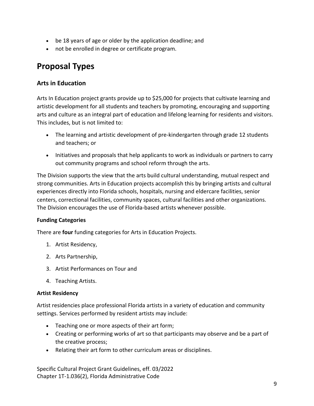- be 18 years of age or older by the application deadline; and
- not be enrolled in degree or certificate program.

## <span id="page-8-0"></span>**Proposal Types**

## <span id="page-8-1"></span>**Arts in Education**

Arts In Education project grants provide up to \$25,000 for projects that cultivate learning and artistic development for all students and teachers by promoting, encouraging and supporting arts and culture as an integral part of education and lifelong learning for residents and visitors. This includes, but is not limited to:

- The learning and artistic development of pre-kindergarten through grade 12 students and teachers; or
- Initiatives and proposals that help applicants to work as individuals or partners to carry out community programs and school reform through the arts.

The Division supports the view that the arts build cultural understanding, mutual respect and strong communities. Arts in Education projects accomplish this by bringing artists and cultural experiences directly into Florida schools, hospitals, nursing and eldercare facilities, senior centers, correctional facilities, community spaces, cultural facilities and other organizations. The Division encourages the use of Florida-based artists whenever possible.

### **Funding Categories**

There are **four** funding categories for Arts in Education Projects.

- 1. Artist Residency,
- 2. Arts Partnership,
- 3. Artist Performances on Tour and
- 4. Teaching Artists.

#### **Artist Residency**

Artist residencies place professional Florida artists in a variety of education and community settings. Services performed by resident artists may include:

- Teaching one or more aspects of their art form;
- Creating or performing works of art so that participants may observe and be a part of the creative process;
- Relating their art form to other curriculum areas or disciplines.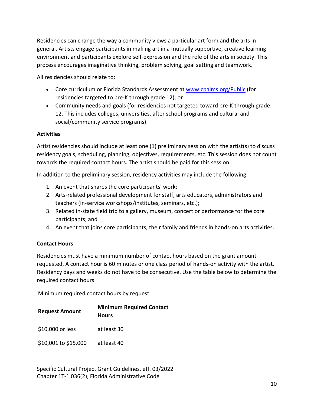Residencies can change the way a community views a particular art form and the arts in general. Artists engage participants in making art in a mutually supportive, creative learning environment and participants explore self-expression and the role of the arts in society. This process encourages imaginative thinking, problem solving, goal setting and teamwork.

All residencies should relate to:

- Core curriculum or Florida Standards Assessment at [www.cpalms.org/Public](http://www.cpalms.org/Public/) (for residencies targeted to pre-K through grade 12); or
- Community needs and goals (for residencies not targeted toward pre-K through grade 12. This includes colleges, universities, after school programs and cultural and social/community service programs).

### **Activities**

Artist residencies should include at least one (1) preliminary session with the artist(s) to discuss residency goals, scheduling, planning, objectives, requirements, etc. This session does not count towards the required contact hours. The artist should be paid for this session.

In addition to the preliminary session, residency activities may include the following:

- 1. An event that shares the core participants' work;
- 2. Arts-related professional development for staff, arts educators, administrators and teachers (in-service workshops/institutes, seminars, etc.);
- 3. Related in-state field trip to a gallery, museum, concert or performance for the core participants; and
- 4. An event that joins core participants, their family and friends in hands-on arts activities.

## **Contact Hours**

Residencies must have a minimum number of contact hours based on the grant amount requested. A contact hour is 60 minutes or one class period of hands-on activity with the artist. Residency days and weeks do not have to be consecutive. Use the table below to determine the required contact hours.

Minimum required contact hours by request.

| <b>Request Amount</b> | <b>Minimum Required Contact</b><br><b>Hours</b> |  |  |
|-----------------------|-------------------------------------------------|--|--|
| \$10,000 or less      | at least 30                                     |  |  |
| \$10,001 to \$15,000  | at least 40                                     |  |  |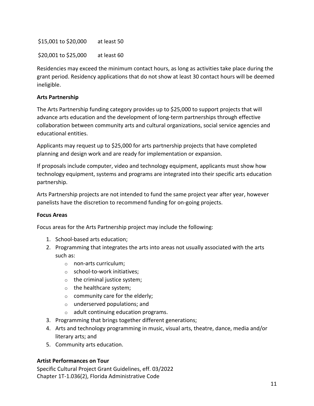\$15,001 to \$20,000 at least 50

\$20,001 to \$25,000 at least 60

Residencies may exceed the minimum contact hours, as long as activities take place during the grant period. Residency applications that do not show at least 30 contact hours will be deemed ineligible.

### **Arts Partnership**

The Arts Partnership funding category provides up to \$25,000 to support projects that will advance arts education and the development of long-term partnerships through effective collaboration between community arts and cultural organizations, social service agencies and educational entities.

Applicants may request up to \$25,000 for arts partnership projects that have completed planning and design work and are ready for implementation or expansion.

If proposals include computer, video and technology equipment, applicants must show how technology equipment, systems and programs are integrated into their specific arts education partnership.

Arts Partnership projects are not intended to fund the same project year after year, however panelists have the discretion to recommend funding for on-going projects.

### **Focus Areas**

Focus areas for the Arts Partnership project may include the following:

- 1. School-based arts education;
- 2. Programming that integrates the arts into areas not usually associated with the arts such as:
	- o non-arts curriculum;
	- o school-to-work initiatives;
	- $\circ$  the criminal justice system;
	- o the healthcare system;
	- $\circ$  community care for the elderly;
	- o underserved populations; and
	- o adult continuing education programs.
- 3. Programming that brings together different generations;
- 4. Arts and technology programming in music, visual arts, theatre, dance, media and/or literary arts; and
- 5. Community arts education.

## **Artist Performances on Tour**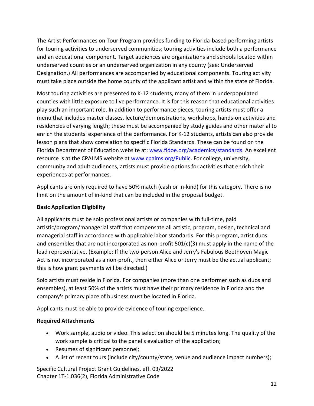The Artist Performances on Tour Program provides funding to Florida-based performing artists for touring activities to underserved communities; touring activities include both a performance and an educational component. Target audiences are organizations and schools located within underserved counties or an underserved organization in any county (see: Underserved Designation.) All performances are accompanied by educational components. Touring activity must take place outside the home county of the applicant artist and within the state of Florida.

Most touring activities are presented to K-12 students, many of them in underpopulated counties with little exposure to live performance. It is for this reason that educational activities play such an important role. In addition to performance pieces, touring artists must offer a menu that includes master classes, lecture/demonstrations, workshops, hands-on activities and residencies of varying length; these must be accompanied by study guides and other material to enrich the students' experience of the performance. For K-12 students, artists can also provide lesson plans that show correlation to specific Florida Standards. These can be found on the Florida Department of Education website at: [www.fldoe.org/academics/standards.](http://www.fldoe.org/academics/standards/) An excellent resource is at the CPALMS website at [www.cpalms.org/Public.](http://www.cpalms.org/Public/) For college, university, community and adult audiences, artists must provide options for activities that enrich their experiences at performances.

Applicants are only required to have 50% match (cash or in-kind) for this category. There is no limit on the amount of in-kind that can be included in the proposal budget.

## **Basic Application Eligibility**

All applicants must be solo professional artists or companies with full-time, paid artistic/program/managerial staff that compensate all artistic, program, design, technical and managerial staff in accordance with applicable labor standards. For this program, artist duos and ensembles that are not incorporated as non-profit  $501(c)(3)$  must apply in the name of the lead representative. (Example: If the two-person Alice and Jerry's Fabulous Beethoven Magic Act is not incorporated as a non-profit, then either Alice or Jerry must be the actual applicant; this is how grant payments will be directed.)

Solo artists must reside in Florida. For companies (more than one performer such as duos and ensembles), at least 50% of the artists must have their primary residence in Florida and the company's primary place of business must be located in Florida.

Applicants must be able to provide evidence of touring experience.

## **Required Attachments**

- Work sample, audio or video. This selection should be 5 minutes long. The quality of the work sample is critical to the panel's evaluation of the application;
- Resumes of significant personnel;
- A list of recent tours (include city/county/state, venue and audience impact numbers);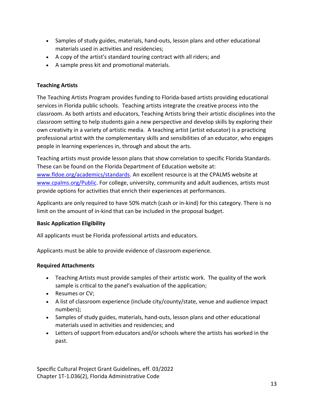- Samples of study guides, materials, hand-outs, lesson plans and other educational materials used in activities and residencies;
- A copy of the artist's standard touring contract with all riders; and
- A sample press kit and promotional materials.

### **Teaching Artists**

The Teaching Artists Program provides funding to Florida-based artists providing educational services in Florida public schools. Teaching artists integrate the creative process into the classroom. As both artists and educators, Teaching Artists bring their artistic disciplines into the classroom setting to help students gain a new perspective and develop skills by exploring their own creativity in a variety of artistic media. A teaching artist (artist educator) is a practicing professional artist with the complementary skills and sensibilities of an educator, who engages people in learning experiences in, through and about the arts.

Teaching artists must provide lesson plans that show correlation to specific Florida Standards. These can be found on the Florida Department of Education website at: [www.fldoe.org/academics/standards.](http://www.fldoe.org/academics/standards/) An excellent resource is at the CPALMS website at [www.cpalms.org/Public.](http://www.cpalms.org/Public/) For college, university, community and adult audiences, artists must provide options for activities that enrich their experiences at performances.

Applicants are only required to have 50% match (cash or in-kind) for this category. There is no limit on the amount of in-kind that can be included in the proposal budget.

### **Basic Application Eligibility**

All applicants must be Florida professional artists and educators.

Applicants must be able to provide evidence of classroom experience.

## **Required Attachments**

- Teaching Artists must provide samples of their artistic work. The quality of the work sample is critical to the panel's evaluation of the application;
- Resumes or CV;
- A list of classroom experience (include city/county/state, venue and audience impact numbers);
- Samples of study guides, materials, hand-outs, lesson plans and other educational materials used in activities and residencies; and
- Letters of support from educators and/or schools where the artists has worked in the past.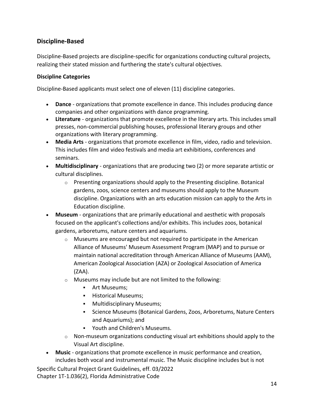## <span id="page-13-0"></span>**Discipline-Based**

Discipline-Based projects are discipline-specific for organizations conducting cultural projects, realizing their stated mission and furthering the state's cultural objectives.

### **Discipline Categories**

Discipline-Based applicants must select one of eleven (11) discipline categories.

- **[Dance](#page-15-0)** organizations that promote excellence in dance. This includes producing dance companies and other organizations with dance programming.
- **[Literature](#page-15-0)** organizations that promote excellence in the literary arts. This includes small presses, non-commercial publishing houses, professional literary groups and other organizations with literary programming.
- **[Media Arts](#page-15-0)** organizations that promote excellence in film, video, radio and television. This includes film and video festivals and media art exhibitions, conferences and seminars.
- **[Multidisciplinary](#page-15-0)** organizations that are producing two (2) or more separate artistic or cultural disciplines.
	- $\circ$  Presenting organizations should apply to the Presenting discipline. Botanical gardens, zoos, science centers and museums should apply to the Museum discipline. Organizations with an arts education mission can apply to the Arts in Education discipline.
- **[Museum](#page-15-0)** organizations that are primarily educational and aesthetic with proposals focused on the applicant's collections and/or exhibits. This includes zoos, botanical gardens, arboretums, nature centers and aquariums.
	- $\circ$  Museums are encouraged but not required to participate in the American Alliance of Museums' Museum Assessment Program (MAP) and to pursue or maintain national accreditation through American Alliance of Museums (AAM), American Zoological Association (AZA) or Zoological Association of America (ZAA).
	- o Museums may include but are not limited to the following:
		- Art Museums;
		- **Historical Museums;**
		- **Multidisciplinary Museums;**
		- Science Museums (Botanical Gardens, Zoos, Arboretums, Nature Centers and Aquariums); and
		- Youth and Children's Museums.
	- $\circ$  Non-museum organizations conducting visual art exhibitions should apply to the Visual Art discipline.
- **[Music](#page-15-0)** organizations that promote excellence in music performance and creation, includes both vocal and instrumental music. The Music discipline includes but is not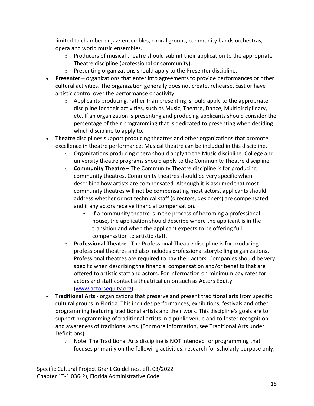limited to chamber or jazz ensembles, choral groups, community bands orchestras, opera and world music ensembles.

- $\circ$  Producers of musical theatre should submit their application to the appropriate Theatre discipline (professional or community).
- $\circ$  Presenting organizations should apply to the Presenter discipline.
- **[Presenter](#page-15-0)** organizations that enter into agreements to provide performances or other cultural activities. The organization generally does not create, rehearse, cast or have artistic control over the performance or activity.
	- $\circ$  Applicants producing, rather than presenting, should apply to the appropriate discipline for their activities, such as Music, Theatre, Dance, Multidisciplinary, etc. If an organization is presenting and producing applicants should consider the percentage of their programming that is dedicated to presenting when deciding which discipline to apply to.
- **Theatre** disciplines support producing theatres and other organizations that promote excellence in theatre performance. Musical theatre can be included in this discipline.
	- $\circ$  Organizations producing opera should apply to the Music discipline. College and university theatre programs should apply to the Community Theatre discipline.
	- o **[Community Theatre](#page-15-0)** The Community Theatre discipline is for producing community theatres. Community theatres should be very specific when describing how artists are compensated. Although it is assumed that most community theatres will not be compensating most actors, applicants should address whether or not technical staff (directors, designers) are compensated and if any actors receive financial compensation.
		- If a community theatre is in the process of becoming a professional house, the application should describe where the applicant is in the transition and when the applicant expects to be offering full compensation to artistic staff.
	- o **[Professional Theatre](#page-15-0)** The Professional Theatre discipline is for producing professional theatres and also includes professional storytelling organizations. Professional theatres are required to pay their actors. Companies should be very specific when describing the financial compensation and/or benefits that are offered to artistic staff and actors. For information on minimum pay rates for actors and staff contact a theatrical union such as Actors Equity [\(www.actorsequity.org\)](http://www.actorsequity.org/).
- **[Traditional Arts](#page-40-0)** organizations that preserve and present traditional arts from specific cultural groups in Florida. This includes performances, exhibitions, festivals and other programming featuring traditional artists and their work. This discipline's goals are to support programming of traditional artists in a public venue and to foster recognition and awareness of traditional arts. (For more information, see Traditional Arts under Definitions)
	- o Note: The Traditional Arts discipline is NOT intended for programming that focuses primarily on the following activities: research for scholarly purpose only;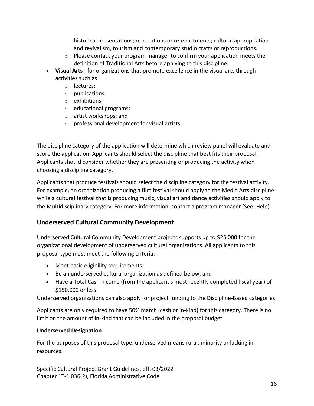historical presentations; re-creations or re-enactments; cultural appropriation and revivalism, tourism and contemporary studio crafts or reproductions.

- $\circ$  Please contact your program manager to confirm your application meets the definition of Traditional Arts before applying to this discipline.
- **[Visual Arts](#page-15-0)** for organizations that promote excellence in the visual arts through activities such as:
	- o lectures;
	- o publications;
	- o exhibitions;
	- o educational programs;
	- o artist workshops; and
	- o professional development for visual artists.

The discipline category of the application will determine which review panel will evaluate and score the application. Applicants should select the discipline that best fits their proposal. Applicants should consider whether they are presenting or producing the activity when choosing a discipline category.

Applicants that produce festivals should select the discipline category for the festival activity. For example, an organization producing a film festival should apply to the Media Arts discipline while a cultural festival that is producing music, visual art and dance activities should apply to the Multidisciplinary category. For more information, contact a program manager (See: Help).

## <span id="page-15-0"></span>**Underserved Cultural Community Development**

Underserved Cultural Community Development projects supports up to \$25,000 for the organizational development of underserved cultural organizations. All applicants to this proposal type must meet the following criteria:

- Meet basic eligibility requirements;
- Be an underserved cultural organization as defined below; and
- Have a Total Cash Income (from the applicant's most recently completed fiscal year) of \$150,000 or less.

Underserved organizations can also apply for project funding to the Discipline-Based categories.

Applicants are only required to have 50% match (cash or in-kind) for this category. There is no limit on the amount of in-kind that can be included in the proposal budget.

## **Underserved Designation**

For the purposes of this proposal type, underserved means rural, minority or lacking in resources.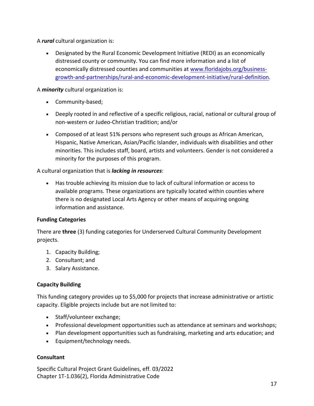A *rural* cultural organization is:

• Designated by the Rural Economic Development Initiative (REDI) as an economically distressed county or community. You can find more information and a list of economically distressed counties and communities at [www.floridajobs.org/business](http://www.floridajobs.org/business-growth-and-partnerships/rural-and-economic-development-initiative/rural-definition)[growth-and-partnerships/rural-and-economic-development-initiative/rural-definition.](http://www.floridajobs.org/business-growth-and-partnerships/rural-and-economic-development-initiative/rural-definition)

A *minority* cultural organization is:

- Community-based;
- Deeply rooted in and reflective of a specific religious, racial, national or cultural group of non-western or Judeo-Christian tradition; and/or
- Composed of at least 51% persons who represent such groups as African American, Hispanic, Native American, Asian/Pacific Islander, individuals with disabilities and other minorities. This includes staff, board, artists and volunteers. Gender is not considered a minority for the purposes of this program.

### A cultural organization that is *lacking in resources*:

• Has trouble achieving its mission due to lack of cultural information or access to available programs. These organizations are typically located within counties where there is no designated Local Arts Agency or other means of acquiring ongoing information and assistance.

## **Funding Categories**

There are **three** (3) funding categories for Underserved Cultural Community Development projects.

- 1. Capacity Building;
- 2. Consultant; and
- 3. Salary Assistance.

## **Capacity Building**

This funding category provides up to \$5,000 for projects that increase administrative or artistic capacity. Eligible projects include but are not limited to:

- Staff/volunteer exchange;
- Professional development opportunities such as attendance at seminars and workshops;
- Plan development opportunities such as fundraising, marketing and arts education; and
- Equipment/technology needs.

### **Consultant**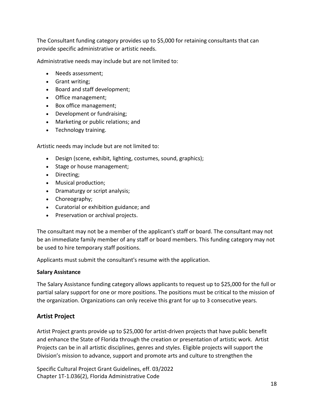The Consultant funding category provides up to \$5,000 for retaining consultants that can provide specific administrative or artistic needs.

Administrative needs may include but are not limited to:

- Needs assessment;
- Grant writing;
- Board and staff development;
- Office management;
- Box office management;
- Development or fundraising;
- Marketing or public relations; and
- Technology training.

Artistic needs may include but are not limited to:

- Design (scene, exhibit, lighting, costumes, sound, graphics);
- Stage or house management;
- Directing;
- Musical production;
- Dramaturgy or script analysis;
- Choreography;
- Curatorial or exhibition guidance; and
- Preservation or archival projects.

The consultant may not be a member of the applicant's staff or board. The consultant may not be an [immediate family](http://dos.florida-arts.org/resources/termlookup.cfm?term=immediate-family) member of any staff or board members. This funding category may not be used to hire temporary staff positions.

Applicants must submit the consultant's resume with the application.

### **Salary Assistance**

The Salary Assistance funding category allows applicants to request up to \$25,000 for the full or partial salary support for one or more positions. The positions must be critical to the mission of the organization. Organizations can only receive this grant for up to 3 consecutive years.

## <span id="page-17-0"></span>**Artist Project**

Artist Project grants provide up to \$25,000 for artist-driven projects that have public benefit and enhance the State of Florida through the creation or presentation of artistic work. Artist Projects can be in all artistic disciplines, genres and styles. Eligible projects will support the Division's mission to advance, support and promote arts and culture to strengthen the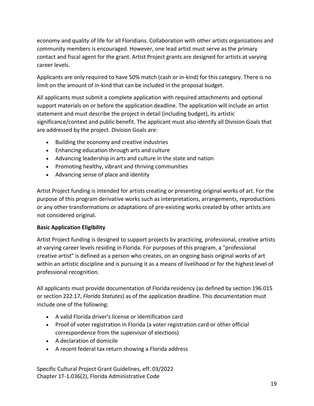economy and quality of life for all Floridians. Collaboration with other artists organizations and community members is encouraged. However, one lead artist must serve as the primary contact and fiscal agent for the grant. Artist Project grants are designed for artists at varying career levels.

Applicants are only required to have 50% match (cash or in-kind) for this category. There is no limit on the amount of in-kind that can be included in the proposal budget.

All applicants must submit a complete application with required attachments and optional support materials on or before the application deadline. The application will include an artist statement and must describe the project in detail (including budget), its artistic significance/context and public benefit. The applicant must also identify all Division Goals that are addressed by the project. Division Goals are:

- Building the economy and creative industries
- Enhancing education through arts and culture
- Advancing leadership in arts and culture in the state and nation
- Promoting healthy, vibrant and thriving communities
- Advancing sense of place and identity

Artist Project funding is intended for artists creating or presenting original works of art. For the purpose of this program derivative works such as interpretations, arrangements, reproductions or any other transformations or adaptations of pre-existing works created by other artists are not considered original.

## **Basic Application Eligibility**

Artist Project funding is designed to support projects by practicing, professional, creative artists at varying career levels residing in Florida. For purposes of this program, a "professional creative artist" is defined as a person who creates, on an ongoing basis original works of art within an artistic discipline and is pursuing it as a means of livelihood or for the highest level of professional recognition.

All applicants must provide documentation of Florida residency (as defined by section 196.015 or section 222.17, *Florida Statutes*) as of the application deadline. This documentation must include one of the following:

- A valid Florida driver's license or identification card
- Proof of voter registration in Florida (a voter registration card or other official correspondence from the supervisor of elections)
- A declaration of domicile
- A recent federal tax return showing a Florida address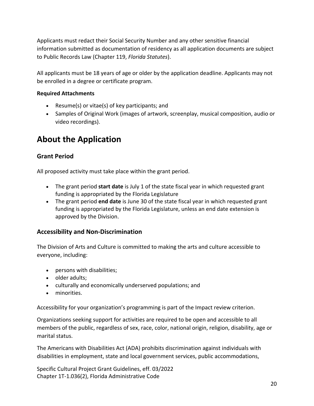Applicants must redact their Social Security Number and any other sensitive financial information submitted as documentation of residency as all application documents are subject to Public Records Law (Chapter 119, *Florida Statutes*).

All applicants must be 18 years of age or older by the application deadline. Applicants may not be enrolled in a degree or certificate program.

### **Required Attachments**

- Resume(s) or vitae(s) of key participants; and
- Samples of Original Work (images of artwork, screenplay, musical composition, audio or video recordings).

# <span id="page-19-0"></span>**About the Application**

## <span id="page-19-1"></span>**Grant Period**

All proposed activity must take place within the grant period.

- The grant period **start date** is July 1 of the state fiscal year in which requested grant funding is appropriated by the Florida Legislature
- The grant period **end date** is June 30 of the state fiscal year in which requested grant funding is appropriated by the Florida Legislature, unless an end date extension is approved by the Division.

## <span id="page-19-2"></span>**Accessibility and Non-Discrimination**

The Division of Arts and Culture is committed to making the arts and culture accessible to everyone, including:

- persons with disabilities;
- older adults;
- culturally and economically underserved populations; and
- minorities.

Accessibility for your organization's programming is part of the Impact review criterion.

Organizations seeking support for activities are required to be open and accessible to all members of the public, regardless of sex, race, color, national origin, religion, disability, age or marital status.

The Americans with Disabilities Act (ADA) prohibits discrimination against individuals with disabilities in employment, state and local government services, public accommodations,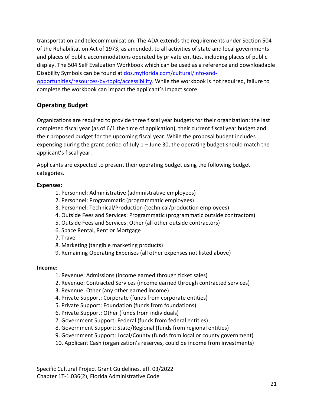transportation and telecommunication. The ADA extends the requirements under Section 504 of the Rehabilitation Act of 1973, as amended, to all activities of state and local governments and places of public accommodations operated by private entities, including places of public display. The 504 Self Evaluation Workbook which can be used as a reference and downloadable Disability Symbols can be found at [dos.myflorida.com/cultural/info-and-](http://dos.myflorida.com/cultural/info-and-opportunities/resources-by-topic/accessibility/)

opportunities/resources-by-topic/accessibility</u>. While the workbook is not required, failure to complete the workbook can impact the applicant's Impact score.

## <span id="page-20-0"></span>**Operating Budget**

Organizations are required to provide three fiscal year budgets for their organization: the last completed fiscal year (as of 6/1 the time of application), their current fiscal year budget and their proposed budget for the upcoming fiscal year. While the proposal budget includes expensing during the grant period of July  $1 -$  June 30, the operating budget should match the applicant's fiscal year.

Applicants are expected to present their operating budget using the following budget categories.

### **Expenses:**

- 1. Personnel: Administrative (administrative employees)
- 2. Personnel: Programmatic (programmatic employees)
- 3. Personnel: Technical/Production (technical/production employees)
- 4. Outside Fees and Services: Programmatic (programmatic outside contractors)
- 5. Outside Fees and Services: Other (all other outside contractors)
- 6. Space Rental, Rent or Mortgage
- 7. Travel
- 8. Marketing (tangible marketing products)
- 9. Remaining Operating Expenses (all other expenses not listed above)

### **Income:**

- 1. Revenue: Admissions (income earned through ticket sales)
- 2. Revenue: Contracted Services (income earned through contracted services)
- 3. Revenue: Other (any other earned income)
- 4. Private Support: Corporate (funds from corporate entities)
- 5. Private Support: Foundation (funds from foundations)
- 6. Private Support: Other (funds from individuals)
- 7. Government Support: Federal (funds from federal entities)
- 8. Government Support: State/Regional (funds from regional entities)
- 9. Government Support: Local/County (funds from local or county government)
- 10. Applicant Cash (organization's reserves, could be income from investments)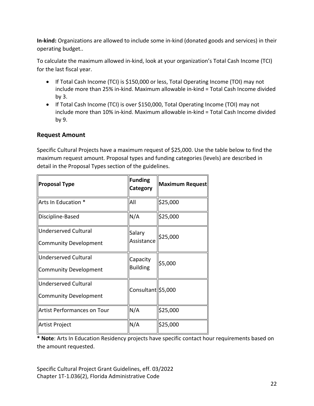**In-kind:** Organizations are allowed to include some in-kind (donated goods and services) in their operating budget..

To calculate the maximum allowed in-kind, look at your organization's Total Cash Income (TCI) for the last fiscal year.

- If Total Cash Income (TCI) is \$150,000 or less, Total Operating Income (TOI) may not include more than 25% in-kind. Maximum allowable in-kind = Total Cash Income divided by 3.
- If Total Cash Income (TCI) is over \$150,000, Total Operating Income (TOI) may not include more than 10% in-kind. Maximum allowable in-kind = Total Cash Income divided by 9.

## <span id="page-21-0"></span>**Request Amount**

Specific Cultural Projects have a maximum request of \$25,000. Use the table below to find the maximum request amount. Proposal types and funding categories (levels) are described in detail in the Proposal Types section of the guidelines.

| <b>Proposal Type</b>                          | <b>Funding</b><br>Category  | Maximum Request |  |
|-----------------------------------------------|-----------------------------|-----------------|--|
| Arts In Education *                           | All                         | \$25,000        |  |
| Discipline-Based                              | N/A                         | \$25,000        |  |
| Underserved Cultural<br>Community Development | Salary<br>Assistance        | \$25,000        |  |
| Underserved Cultural<br>Community Development | Capacity<br><b>Building</b> | \$5,000         |  |
| Underserved Cultural<br>Community Development | Consultant \$5,000          |                 |  |
| Artist Performances on Tour                   | N/A                         | \$25,000        |  |
| Artist Project                                | N/A                         | \$25,000        |  |

**\* Note**: Arts In Education Residency projects have specific contact hour requirements based on the amount requested.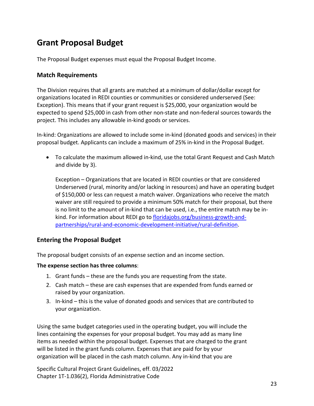# <span id="page-22-0"></span>**Grant Proposal Budget**

The Proposal Budget expenses must equal the Proposal Budget Income.

### <span id="page-22-1"></span>**Match Requirements**

The Division requires that all grants are matched at a minimum of dollar/dollar except for organizations located in REDI counties or communities or considered underserved (See: Exception). This means that if your grant request is \$25,000, your organization would be expected to spend \$25,000 in cash from other non-state and non-federal sources towards the project. This includes any allowable in-kind goods or services.

In-kind: Organizations are allowed to include some in-kind (donated goods and services) in their proposal budget. Applicants can include a maximum of 25% in-kind in the Proposal Budget.

• To calculate the maximum allowed in-kind, use the total Grant Request and Cash Match and divide by 3).

Exception – Organizations that are located in REDI counties or that are considered Underserved (rural, minority and/or lacking in resources) and have an operating budget of \$150,000 or less can request a match waiver. Organizations who receive the match waiver are still required to provide a minimum 50% match for their proposal, but there is no limit to the amount of in-kind that can be used, i.e., the entire match may be inkind. For information about REDI go to [floridajobs.org/business-growth-and](http://www.floridajobs.org/business-growth-and-partnerships/rural-and-economic-development-initiative/rural-definition)[partnerships/rural-and-economic-development-initiative/rural-definition.](http://www.floridajobs.org/business-growth-and-partnerships/rural-and-economic-development-initiative/rural-definition)

## <span id="page-22-2"></span>**Entering the Proposal Budget**

The proposal budget consists of an expense section and an income section.

### **The expense section has three columns**:

- 1. Grant funds these are the funds you are requesting from the state.
- 2. Cash match these are cash expenses that are expended from funds earned or raised by your organization.
- 3. In-kind this is the value of donated goods and services that are contributed to your organization.

Using the same budget categories used in the operating budget, you will include the lines containing the expenses for your proposal budget. You may add as many line items as needed within the proposal budget. Expenses that are charged to the grant will be listed in the grant funds column. Expenses that are paid for by your organization will be placed in the cash match column. Any in-kind that you are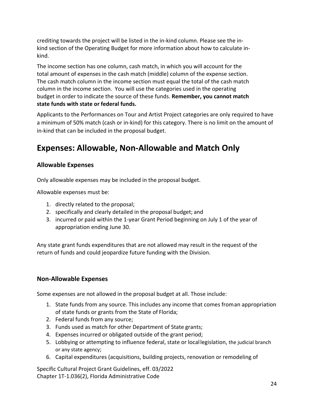crediting towards the project will be listed in the in-kind column. Please see the inkind section of the Operating Budget for more information about how to calculate inkind.

The income section has one column, cash match, in which you will account for the total amount of expenses in the cash match (middle) column of the expense section. The cash match column in the income section must equal the total of the cash match column in the income section. You will use the categories used in the operating budget in order to indicate the source of these funds. **Remember, you cannot match state funds with state or federal funds.** 

Applicants to the Performances on Tour and Artist Project categories are only required to have a minimum of 50% match (cash or in-kind) for this category. There is no limit on the amount of in-kind that can be included in the proposal budget.

## <span id="page-23-0"></span>**Expenses: Allowable, Non-Allowable and Match Only**

## <span id="page-23-1"></span>**Allowable Expenses**

Only allowable expenses may be included in the proposal budget.

Allowable expenses must be:

- 1. directly related to the proposal;
- 2. specifically and clearly detailed in the proposal budget; and
- 3. incurred or paid within the 1-year Grant Period beginning on July 1 of the year of appropriation ending June 30.

Any state grant funds expenditures that are not allowed may result in the request of the return of funds and could jeopardize future funding with the Division.

## <span id="page-23-2"></span>**Non-Allowable Expenses**

Some expenses are not allowed in the proposal budget at all. Those include:

- 1. State funds from any source. This includes any income that comes froman appropriation of state funds or grants from the State of Florida;
- 2. Federal funds from any source;
- 3. Funds used as match for other Department of State grants;
- 4. Expenses incurred or obligated outside of the grant period;
- 5. Lobbying or attempting to influence federal, state or locallegislation, the judicial branch or any state agency;
- 6. Capital expenditures (acquisitions, building projects, renovation or remodeling of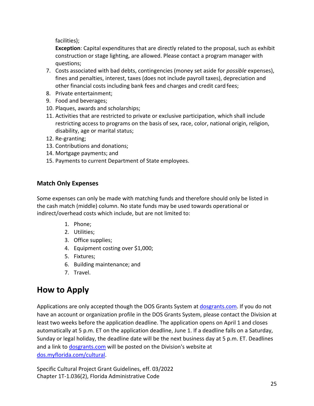facilities);

**Exception**: Capital expenditures that are directly related to the proposal, such as exhibit construction or stage lighting, are allowed. Please contact a program manager with questions;

- 7. Costs associated with bad debts, contingencies (money set aside for *possible* expenses), fines and penalties, interest, taxes (does not include payroll taxes), depreciation and other financial costs including bank fees and charges and credit card fees;
- 8. Private entertainment;
- 9. Food and beverages;
- 10. Plaques, awards and scholarships;
- 11. Activities that are restricted to private or exclusive participation, which shall include restricting access to programs on the basis of sex, race, color, national origin, religion, disability, age or marital status;
- 12. Re-granting;
- 13. Contributions and donations;
- 14. Mortgage payments; and
- 15. Payments to current Department of State employees.

## <span id="page-24-0"></span>**Match Only Expenses**

Some expenses can only be made with matching funds and therefore should only be listed in the cash match (middle) column. No state funds may be used towards operational or indirect/overhead costs which include, but are not limited to:

- 1. Phone;
- 2. Utilities;
- 3. Office supplies;
- 4. Equipment costing over \$1,000;
- 5. Fixtures;
- 6. Building maintenance; and
- 7. Travel.

# <span id="page-24-1"></span>**How to Apply**

Applications are only accepted though the DOS Grants System at dosgrants.com. If you do not have an account or organization profile in the DOS Grants System, please contact the Division at least two weeks before the application deadline. The application opens on April 1 and closes automatically at 5 p.m. ET on the application deadline, June 1. If a deadline falls on a Saturday, Sunday or legal holiday, the deadline date will be the next business day at 5 p.m. ET. Deadlines and a link to dosgrants.com will be posted on the Division's website at [dos.myflorida.com/cultural.](http://dos.myflorida.com/cultural/)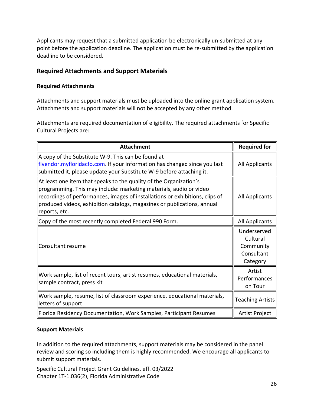Applicants may request that a submitted application be electronically un-submitted at any point before the application deadline. The application must be re-submitted by the application deadline to be considered.

## <span id="page-25-0"></span>**Required Attachments and Support Materials**

### **Required Attachments**

Attachments and support materials must be uploaded into the online grant application system. Attachments and support materials will not be accepted by any other method.

Attachments are required documentation of eligibility. The required attachments for Specific Cultural Projects are:

| <b>Attachment</b>                                                                                                                                                                                                                                                                                                    | <b>Required for</b>                                            |
|----------------------------------------------------------------------------------------------------------------------------------------------------------------------------------------------------------------------------------------------------------------------------------------------------------------------|----------------------------------------------------------------|
| A copy of the Substitute W-9. This can be found at<br>flvendor.myfloridacfo.com. If your information has changed since you last<br>submitted it, please update your Substitute W-9 before attaching it.                                                                                                              | <b>All Applicants</b>                                          |
| At least one item that speaks to the quality of the Organization's<br>programming. This may include: marketing materials, audio or video<br>recordings of performances, images of installations or exhibitions, clips of<br>produced videos, exhibition catalogs, magazines or publications, annual<br>reports, etc. | <b>All Applicants</b>                                          |
| Copy of the most recently completed Federal 990 Form.                                                                                                                                                                                                                                                                | <b>All Applicants</b>                                          |
| Consultant resume                                                                                                                                                                                                                                                                                                    | Underserved<br>Cultural<br>Community<br>Consultant<br>Category |
| Work sample, list of recent tours, artist resumes, educational materials,<br>sample contract, press kit                                                                                                                                                                                                              | Artist<br>Performances<br>on Tour                              |
| Work sample, resume, list of classroom experience, educational materials,<br>letters of support                                                                                                                                                                                                                      | <b>Teaching Artists</b>                                        |
| Florida Residency Documentation, Work Samples, Participant Resumes                                                                                                                                                                                                                                                   | Artist Project                                                 |

### **Support Materials**

In addition to the required attachments, support materials may be considered in the panel review and scoring so including them is highly recommended. We encourage all applicants to submit support materials.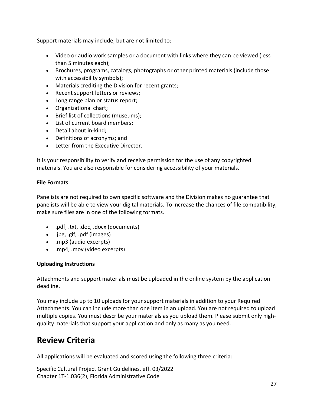Support materials may include, but are not limited to:

- Video or audio work samples or a document with links where they can be viewed (less than 5 minutes each);
- Brochures, programs, catalogs, photographs or other printed materials (include those with accessibility symbols);
- Materials crediting the Division for recent grants;
- Recent support letters or reviews;
- Long range plan or status report;
- Organizational chart;
- Brief list of collections (museums);
- List of current board members;
- Detail about in-kind;
- Definitions of acronyms; and
- Letter from the Executive Director.

It is your responsibility to verify and receive permission for the use of any copyrighted materials. You are also responsible for considering accessibility of your materials.

### **File Formats**

Panelists are not required to own specific software and the Division makes no guarantee that panelists will be able to view your digital materials. To increase the chances of file compatibility, make sure files are in one of the following formats.

- .pdf, .txt, .doc, .docx (documents)
- .jpg, .gif, .pdf (images)
- .mp3 (audio excerpts)
- .mp4, .mov (video excerpts)

### **Uploading Instructions**

Attachments and support materials must be uploaded in the online system by the application deadline.

You may include up to 10 uploads for your support materials in addition to your Required Attachments. You can include more than one item in an upload. You are not required to upload multiple copies. You must describe your materials as you upload them. Please submit only highquality materials that support your application and only as many as you need.

## <span id="page-26-0"></span>**Review Criteria**

All applications will be evaluated and scored using the following three criteria: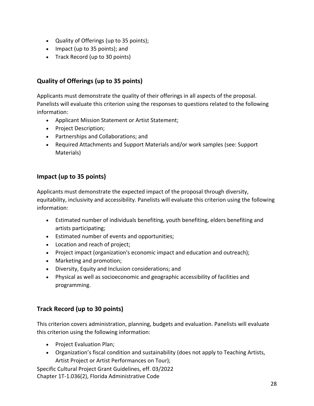- Quality of Offerings (up to 35 points);
- Impact (up to 35 points); and
- Track Record (up to 30 points)

## <span id="page-27-0"></span>**Quality of Offerings (up to 35 points)**

Applicants must demonstrate the quality of their offerings in all aspects of the proposal. Panelists will evaluate this criterion using the responses to questions related to the following information:

- Applicant Mission Statement or Artist Statement;
- Project Description;
- Partnerships and Collaborations; and
- Required Attachments and Support Materials and/or work samples (see: Support Materials)

## <span id="page-27-1"></span>**Impact (up to 35 points)**

Applicants must demonstrate the expected impact of the proposal through diversity, equitability, inclusivity and accessibility. Panelists will evaluate this criterion using the following information:

- Estimated number of individuals benefiting, youth benefiting, elders benefiting and artists participating;
- Estimated number of events and opportunities;
- Location and reach of project;
- Project impact (organization's economic impact and education and outreach);
- Marketing and promotion;
- Diversity, Equity and Inclusion considerations; and
- Physical as well as socioeconomic and geographic accessibility of facilities and programming.

## <span id="page-27-2"></span>**Track Record (up to 30 points)**

This criterion covers administration, planning, budgets and evaluation. Panelists will evaluate this criterion using the following information:

- Project Evaluation Plan;
- Organization's fiscal condition and sustainability (does not apply to Teaching Artists, Artist Project or Artist Performances on Tour);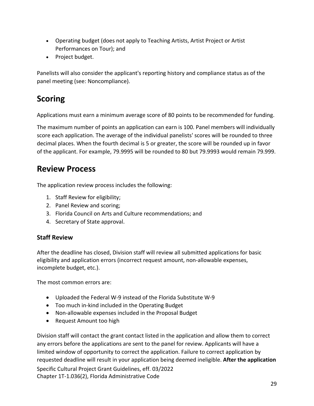- Operating budget (does not apply to Teaching Artists, Artist Project or Artist Performances on Tour); and
- Project budget.

Panelists will also consider the applicant's reporting history and compliance status as of the panel meeting (see: Noncompliance).

# <span id="page-28-0"></span>**Scoring**

Applications must earn a minimum average score of 80 points to be recommended for funding.

The maximum number of points an application can earn is 100. Panel members will individually score each application. The average of the individual panelists' scores will be rounded to three decimal places. When the fourth decimal is 5 or greater, the score will be rounded up in favor of the applicant. For example, 79.9995 will be rounded to 80 but 79.9993 would remain 79.999.

## <span id="page-28-1"></span>**Review Process**

The application review process includes the following:

- 1. Staff Review for eligibility;
- 2. Panel Review and scoring;
- 3. Florida Council on Arts and Culture recommendations; and
- 4. Secretary of State approval.

## <span id="page-28-2"></span>**Staff Review**

After the deadline has closed, Division staff will review all submitted applications for basic eligibility and application errors (incorrect request amount, non-allowable expenses, incomplete budget, etc.).

The most common errors are:

- Uploaded the Federal W-9 instead of the Florida Substitute W-9
- Too much in-kind included in the Operating Budget
- Non-allowable expenses included in the Proposal Budget
- Request Amount too high

Division staff will contact the grant contact listed in the application and allow them to correct any errors before the applications are sent to the panel for review. Applicants will have a limited window of opportunity to correct the application. Failure to correct application by requested deadline will result in your application being deemed ineligible. **After the application**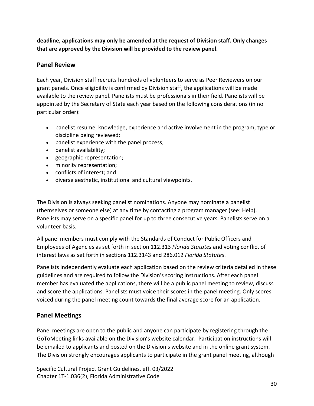**deadline, applications may only be amended at the request of Division staff. Only changes that are approved by the Division will be provided to the review panel.**

## <span id="page-29-0"></span>**Panel Review**

Each year, Division staff recruits hundreds of volunteers to serve as Peer Reviewers on our grant panels. Once eligibility is confirmed by Division staff, the applications will be made available to the review panel. Panelists must be professionals in their field. Panelists will be appointed by the Secretary of State each year based on the following considerations (in no particular order):

- panelist resume, knowledge, experience and active involvement in the program, type or discipline being reviewed;
- panelist experience with the panel process;
- panelist availability;
- geographic representation;
- minority representation;
- conflicts of interest; and
- diverse aesthetic, institutional and cultural viewpoints.

The Division is always seeking panelist nominations. Anyone may nominate a panelist (themselves or someone else) at any time by contacting a program manager (see: Help). Panelists may serve on a specific panel for up to three consecutive years. Panelists serve on a volunteer basis.

All panel members must comply with the Standards of Conduct for Public Officers and Employees of Agencies as set forth in section 112.313 *Florida Statutes* and voting conflict of interest laws as set forth in sections 112.3143 and 286.012 *Florida Statutes*.

Panelists independently evaluate each application based on the review criteria detailed in these guidelines and are required to follow the Division's scoring instructions. After each panel member has evaluated the applications, there will be a public panel meeting to review, discuss and score the applications. Panelists must voice their scores in the panel meeting. Only scores voiced during the panel meeting count towards the final average score for an application.

## <span id="page-29-1"></span>**Panel Meetings**

Panel meetings are open to the public and anyone can participate by registering through the GoToMeeting links available on the Division's website calendar. Participation instructions will be emailed to applicants and posted on the Division's website and in the online grant system. The Division strongly encourages applicants to participate in the grant panel meeting, although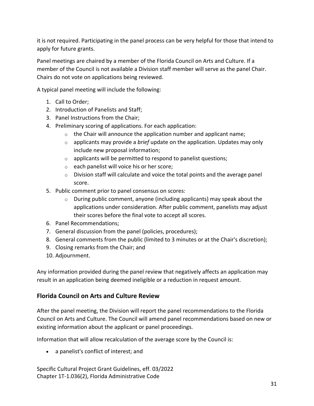it is not required. Participating in the panel process can be very helpful for those that intend to apply for future grants.

Panel meetings are chaired by a member of the Florida Council on Arts and Culture. If a member of the Council is not available a Division staff member will serve as the panel Chair. Chairs do not vote on applications being reviewed.

A typical panel meeting will include the following:

- 1. Call to Order;
- 2. Introduction of Panelists and Staff;
- 3. Panel Instructions from the Chair;
- 4. Preliminary scoring of applications. For each application:
	- $\circ$  the Chair will announce the application number and applicant name;
	- o applicants may provide a *brief* update on the application. Updates may only include new proposal information;
	- $\circ$  applicants will be permitted to respond to panelist questions;
	- o each panelist will voice his or her score;
	- $\circ$  Division staff will calculate and voice the total points and the average panel score.
- 5. Public comment prior to panel consensus on scores:
	- $\circ$  During public comment, anyone (including applicants) may speak about the applications under consideration. After public comment, panelists may adjust their scores before the final vote to accept all scores.
- 6. Panel Recommendations;
- 7. General discussion from the panel (policies, procedures);
- 8. General comments from the public (limited to 3 minutes or at the Chair's discretion);
- 9. Closing remarks from the Chair; and
- 10. Adjournment.

Any information provided during the panel review that negatively affects an application may result in an application being deemed ineligible or a reduction in request amount.

## <span id="page-30-0"></span>**Florida Council on Arts and Culture Review**

After the panel meeting, the Division will report the panel recommendations to the Florida Council on Arts and Culture. The Council will amend panel recommendations based on new or existing information about the applicant or panel proceedings.

Information that will allow recalculation of the average score by the Council is:

• a panelist's conflict of interest; and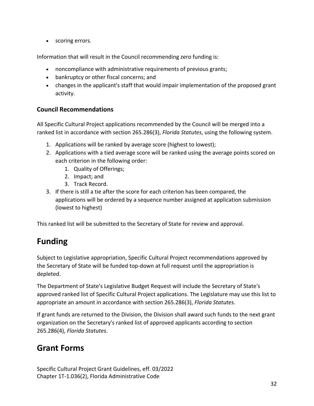• scoring errors.

Information that will result in the Council recommending zero funding is:

- noncompliance with administrative requirements of previous grants;
- bankruptcy or other fiscal concerns; and
- changes in the applicant's staff that would impair implementation of the proposed grant activity.

## <span id="page-31-0"></span>**Council Recommendations**

All Specific Cultural Project applications recommended by the Council will be merged into a ranked list in accordance with section 265.286(3), *Florida Statutes*, using the following system.

- 1. Applications will be ranked by average score (highest to lowest);
- 2. Applications with a tied average score will be ranked using the average points scored on each criterion in the following order:
	- 1. Quality of Offerings;
	- 2. Impact; and
	- 3. Track Record.
- 3. If there is still a tie after the score for each criterion has been compared, the applications will be ordered by a sequence number assigned at application submission (lowest to highest)

This ranked list will be submitted to the Secretary of State for review and approval.

## <span id="page-31-1"></span>**Funding**

Subject to Legislative appropriation, Specific Cultural Project recommendations approved by the Secretary of State will be funded top-down at full request until the appropriation is depleted.

The Department of State's Legislative Budget Request will include the Secretary of State's approved ranked list of Specific Cultural Project applications. The Legislature may use this list to appropriate an amount in accordance with section 265.286(3), *Florida Statutes*.

If grant funds are returned to the Division, the Division shall award such funds to the next grant organization on the Secretary's ranked list of approved applicants according to section 265.286(4), *Florida Statutes*.

## <span id="page-31-2"></span>**Grant Forms**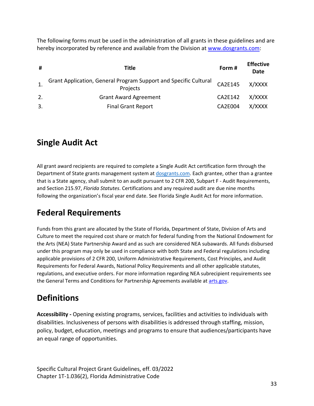The following forms must be used in the administration of all grants in these guidelines and are hereby incorporated by reference and available from the Division at [www.dosgrants.com:](file://nvdos9shares01/dcashare/dcashare/RULES/2024%20Rule/GPS%20SCP/www.dosgrants.com)

| #  | Title                                                                        | Form#          | <b>Effective</b><br>Date |
|----|------------------------------------------------------------------------------|----------------|--------------------------|
|    | Grant Application, General Program Support and Specific Cultural<br>Projects | CA2E145        | X/XXXX                   |
| 2. | <b>Grant Award Agreement</b>                                                 | CA2E142        | X/XXXX                   |
| 3. | <b>Final Grant Report</b>                                                    | <b>CA2E004</b> | X/XXXX                   |

# <span id="page-32-0"></span>**Single Audit Act**

All grant award recipients are required to complete a Single Audit Act certification form through the Department of State grants management system at [dosgrants.com.](https://dosgrants.com/) Each grantee, other than a grantee that is a State agency, shall submit to an audit pursuant to 2 CFR 200, Subpart F - Audit Requirements, and Section 215.97, *Florida Statutes*. Certifications and any required audit are due nine months following the organization's fiscal year end date. See Florida Single Audit Act for more information.

# <span id="page-32-1"></span>**Federal Requirements**

Funds from this grant are allocated by the State of Florida, Department of State, Division of Arts and Culture to meet the required cost share or match for federal funding from the National Endowment for the Arts (NEA) State Partnership Award and as such are considered NEA subawards. All funds disbursed under this program may only be used in compliance with both State and Federal regulations including applicable provisions of 2 CFR 200, Uniform Administrative Requirements, Cost Principles, and Audit Requirements for Federal Awards, National Policy Requirements and all other applicable statutes, regulations, and executive orders. For more information regarding NEA subrecipient requirements see the General Terms and Conditions for Partnership Agreements available at [arts.gov.](https://www.arts.gov/)

# <span id="page-32-2"></span>**Definitions**

**Accessibility -** Opening existing programs, services, facilities and activities to individuals with disabilities. Inclusiveness of persons with disabilities is addressed through staffing, mission, policy, budget, education, meetings and programs to ensure that audiences/participants have an equal range of opportunities.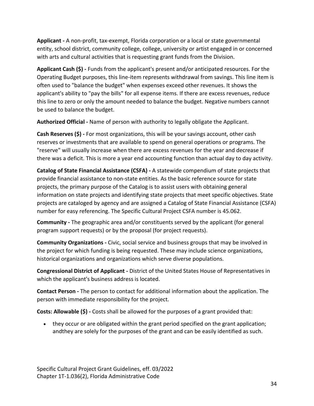**Applicant -** A non-profit, tax-exempt, Florida corporation or a local or state governmental entity, school district, community college, college, university or artist engaged in or concerned with arts and cultural activities that is requesting grant funds from the Division.

**Applicant Cash (\$) -** Funds from the applicant's present and/or anticipated resources. For the Operating Budget purposes, this line-item represents withdrawal from savings. This line item is often used to "balance the budget" when expenses exceed other revenues. It shows the applicant's ability to "pay the bills" for all expense items. If there are excess revenues, reduce this line to zero or only the amount needed to balance the budget. Negative numbers cannot be used to balance the budget.

**Authorized Official -** Name of person with authority to legally obligate the Applicant.

**Cash Reserves (\$) -** For most organizations, this will be your savings account, other cash reserves or investments that are available to spend on general operations or programs. The "reserve" will usually increase when there are excess revenues for the year and decrease if there was a deficit. This is more a year end accounting function than actual day to day activity.

**Catalog of State Financial Assistance (CSFA) -** A statewide compendium of state projects that provide financial assistance to non-state entities. As the basic reference source for state projects, the primary purpose of the Catalog is to assist users with obtaining general information on state projects and identifying state projects that meet specific objectives. State projects are cataloged by agency and are assigned a Catalog of State Financial Assistance (CSFA) number for easy referencing. The Specific Cultural Project CSFA number is 45.062.

**Community -** The geographic area and/or constituents served by the applicant (for general program support requests) or by the proposal (for project requests).

**Community Organizations -** Civic, social service and business groups that may be involved in the project for which funding is being requested. These may include science organizations, historical organizations and organizations which serve diverse populations.

**Congressional District of Applicant -** District of the United States House of Representatives in which the applicant's business address is located.

**Contact Person -** The person to contact for additional information about the application. The person with immediate responsibility for the project.

**Costs: Allowable (\$) -** Costs shall be allowed for the purposes of a grant provided that:

• they occur or are obligated within the grant period specified on the grant application; andthey are solely for the purposes of the grant and can be easily identified as such.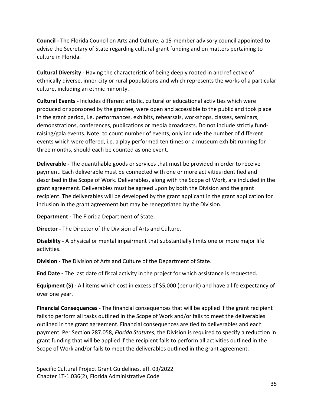**Council -** The Florida Council on Arts and Culture; a 15-member advisory council appointed to advise the Secretary of State regarding cultural grant funding and on matters pertaining to culture in Florida.

**Cultural Diversity** - Having the characteristic of being deeply rooted in and reflective of ethnically diverse, inner-city or rural populations and which represents the works of a particular culture, including an ethnic minority.

**Cultural Events -** Includes different artistic, cultural or educational activities which were produced or sponsored by the grantee, were open and accessible to the public and took place in the grant period, i.e. performances, exhibits, rehearsals, workshops, classes, seminars, demonstrations, conferences, publications or media broadcasts. Do not include strictly fundraising/gala events. Note: to count number of events, only include the number of different events which were offered, i.e. a play performed ten times or a museum exhibit running for three months, should each be counted as one event.

**Deliverable -** The quantifiable goods or services that must be provided in order to receive payment. Each deliverable must be connected with one or more activities identified and described in the Scope of Work. Deliverables, along with the Scope of Work, are included in the grant agreement. Deliverables must be agreed upon by both the Division and the grant recipient. The deliverables will be developed by the grant applicant in the grant application for inclusion in the grant agreement but may be renegotiated by the Division.

**Department -** The Florida Department of State.

**Director -** The Director of the Division of Arts and Culture.

**Disability -** A physical or mental impairment that substantially limits one or more major life activities.

**Division -** The Division of Arts and Culture of the Department of State.

**End Date -** The last date of fiscal activity in the project for which assistance is requested.

**Equipment (\$) -** All items which cost in excess of \$5,000 (per unit) and have a life expectancy of over one year.

**Financial Consequences** - The financial consequences that will be applied if the grant recipient fails to perform all tasks outlined in the Scope of Work and/or fails to meet the deliverables outlined in the grant agreement. Financial consequences are tied to deliverables and each payment. Per Section 287.058, *Florida Statutes*, the Division is required to specify a reduction in grant funding that will be applied if the recipient fails to perform all activities outlined in the Scope of Work and/or fails to meet the deliverables outlined in the grant agreement.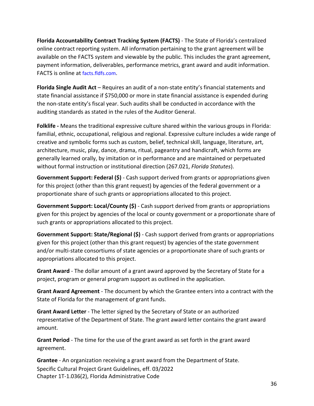**Florida Accountability Contract Tracking System (FACTS)** - The State of Florida's centralized online contract reporting system. All information pertaining to the grant agreement will be available on the FACTS system and viewable by the public. This includes the grant agreement, payment information, deliverables, performance metrics, grant award and audit information. FACTS is online at facts.fldfs.com.

**Florida Single Audit Act** – Requires an audit of a non-state entity's financial statements and state financial assistance if \$750,000 or more in state financial assistance is expended during the non-state entity's fiscal year. Such audits shall be conducted in accordance with the auditing standards as stated in the rules of the Auditor General.

**Folklife -** Means the traditional expressive culture shared within the various groups in Florida: familial, ethnic, occupational, religious and regional. Expressive culture includes a wide range of creative and symbolic forms such as custom, belief, technical skill, language, literature, art, architecture, music, play, dance, drama, ritual, pageantry and handicraft, which forms are generally learned orally, by imitation or in performance and are maintained or perpetuated without formal instruction or institutional direction (267.021, *Florida Statutes*).

**Government Support: Federal (\$)** - Cash support derived from grants or appropriations given for this project (other than this grant request) by agencies of the federal government or a proportionate share of such grants or appropriations allocated to this project.

**Government Support: Local/County (\$)** - Cash support derived from grants or appropriations given for this project by agencies of the local or county government or a proportionate share of such grants or appropriations allocated to this project.

**Government Support: State/Regional (\$)** - Cash support derived from grants or appropriations given for this project (other than this grant request) by agencies of the state government and/or multi-state consortiums of state agencies or a proportionate share of such grants or appropriations allocated to this project.

**Grant Award** - The dollar amount of a grant award approved by the Secretary of State for a project, program or general program support as outlined in the application.

**Grant Award Agreement** - The document by which the Grantee enters into a contract with the State of Florida for the management of grant funds.

**Grant Award Letter** - The letter signed by the Secretary of State or an authorized representative of the Department of State. The grant award letter contains the grant award amount.

**Grant Period** - The time for the use of the grant award as set forth in the grant award agreement.

Specific Cultural Project Grant Guidelines, eff. 03/2022 Chapter 1T-1.036(2), Florida Administrative Code **Grantee** - An organization receiving a grant award from the Department of State.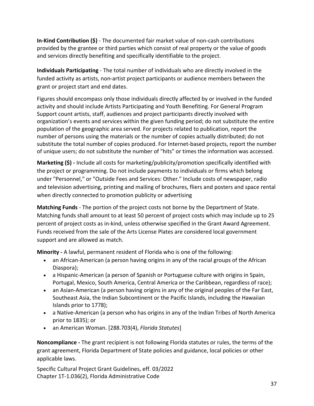**In-Kind Contribution (\$)** - The documented fair market value of non-cash contributions provided by the grantee or third parties which consist of real property or the value of goods and services directly benefiting and specifically identifiable to the project.

**Individuals Participating** - The total number of individuals who are directly involved in the funded activity as artists, non-artist project participants or audience members between the grant or project start and end dates.

Figures should encompass only those individuals directly affected by or involved in the funded activity and should include Artists Participating and Youth Benefiting. For General Program Support count artists, staff, audiences and project participants directly involved with organization's events and services within the given funding period; do not substitute the entire population of the geographic area served. For projects related to publication, report the number of persons using the materials or the number of copies actually distributed; do not substitute the total number of copies produced. For Internet-based projects, report the number of unique users; do not substitute the number of "hits" or times the information was accessed.

**Marketing (\$) -** Include all costs for marketing/publicity/promotion specifically identified with the project or programming. Do not include payments to individuals or firms which belong under "Personnel," or "Outside Fees and Services: Other." Include costs of newspaper, radio and television advertising, printing and mailing of brochures, fliers and posters and space rental when directly connected to promotion publicity or advertising

**Matching Funds** - The portion of the project costs not borne by the Department of State. Matching funds shall amount to at least 50 percent of project costs which may include up to 25 percent of project costs as in-kind, unless otherwise specified in the Grant Award Agreement. Funds received from the sale of the Arts License Plates are considered local government support and are allowed as match.

**Minority -** A lawful, permanent resident of Florida who is one of the following:

- an African-American (a person having origins in any of the racial groups of the African Diaspora);
- a Hispanic-American (a person of Spanish or Portuguese culture with origins in Spain, Portugal, Mexico, South America, Central America or the Caribbean, regardless of race);
- an Asian-American (a person having origins in any of the original peoples of the Far East, Southeast Asia, the Indian Subcontinent or the Pacific Islands, including the Hawaiian Islands prior to 1778);
- a Native-American (a person who has origins in any of the Indian Tribes of North America prior to 1835); or
- an American Woman. [288.703(4), *Florida Statutes*]

**Noncompliance -** The grant recipient is not following Florida statutes or rules, the terms of the grant agreement, Florida Department of State policies and guidance, local policies or other applicable laws.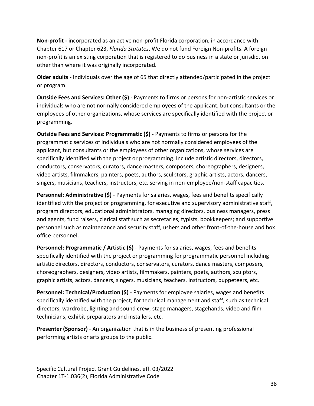**Non-profit -** incorporated as an active non-profit Florida corporation, in accordance with Chapter 617 or Chapter 623, *Florida Statutes*. We do not fund Foreign Non-profits. A foreign non-profit is an existing corporation that is registered to do business in a state or jurisdiction other than where it was originally incorporated.

**Older adults** - Individuals over the age of 65 that directly attended/participated in the project or program.

**Outside Fees and Services: Other (\$)** - Payments to firms or persons for non-artistic services or individuals who are not normally considered employees of the applicant, but consultants or the employees of other organizations, whose services are specifically identified with the project or programming.

**Outside Fees and Services: Programmatic (\$) -** Payments to firms or persons for the programmatic services of individuals who are not normally considered employees of the applicant, but consultants or the employees of other organizations, whose services are specifically identified with the project or programming. Include artistic directors, directors, conductors, conservators, curators, dance masters, composers, choreographers, designers, video artists, filmmakers, painters, poets, authors, sculptors, graphic artists, actors, dancers, singers, musicians, teachers, instructors, etc. serving in non-employee/non-staff capacities.

**Personnel: Administrative (\$)** - Payments for salaries, wages, fees and benefits specifically identified with the project or programming, for executive and supervisory administrative staff, program directors, educational administrators, managing directors, business managers, press and agents, fund raisers, clerical staff such as secretaries, typists, bookkeepers; and supportive personnel such as maintenance and security staff, ushers and other front-of-the-house and box office personnel.

**Personnel: Programmatic / Artistic (\$)** - Payments for salaries, wages, fees and benefits specifically identified with the project or programming for programmatic personnel including artistic directors, directors, conductors, conservators, curators, dance masters, composers, choreographers, designers, video artists, filmmakers, painters, poets, authors, sculptors, graphic artists, actors, dancers, singers, musicians, teachers, instructors, puppeteers, etc.

**Personnel: Technical/Production (\$)** - Payments for employee salaries, wages and benefits specifically identified with the project, for technical management and staff, such as technical directors; wardrobe, lighting and sound crew; stage managers, stagehands; video and film technicians, exhibit preparators and installers, etc.

**Presenter (Sponsor)** - An organization that is in the business of presenting professional performing artists or arts groups to the public.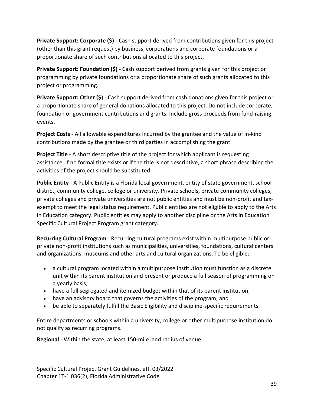**Private Support: Corporate (\$) -** Cash support derived from contributions given for this project (other than this grant request) by business, corporations and corporate foundations or a proportionate share of such contributions allocated to this project.

**Private Support: Foundation (\$)** - Cash support derived from grants given for this project or programming by private foundations or a proportionate share of such grants allocated to this project or programming.

**Private Support: Other (\$)** - Cash support derived from cash donations given for this project or a proportionate share of general donations allocated to this project. Do not include corporate, foundation or government contributions and grants. Include gross proceeds from fund-raising events.

**Project Costs** - All allowable expenditures incurred by the grantee and the value of in-kind contributions made by the grantee or third parties in accomplishing the grant.

**Project Title** - A short descriptive title of the project for which applicant is requesting assistance. If no formal title exists or if the title is not descriptive, a short phrase describing the activities of the project should be substituted.

**Public Entity** - A Public Entity is a Florida local government, entity of state government, school district, community college, college or university. Private schools, private community colleges, private colleges and private universities are not public entities and must be non-profit and taxexempt to meet the legal status requirement. Public entities are not eligible to apply to the Arts in Education category. Public entities may apply to another discipline or the Arts in Education Specific Cultural Project Program grant category.

**Recurring Cultural Program** - Recurring cultural programs exist within multipurpose public or private non-profit institutions such as municipalities, universities, foundations, cultural centers and organizations, museums and other arts and cultural organizations. To be eligible:

- a cultural program located within a multipurpose institution must function as a discrete unit within its parent institution and present or produce a full season of programming on a yearly basis;
- have a full segregated and itemized budget within that of its parent institution;
- have an advisory board that governs the activities of the program; and
- be able to separately fulfill the Basic Eligibility and discipline-specific requirements.

Entire departments or schools within a university, college or other multipurpose institution do not qualify as recurring programs.

**Regional** - Within the state, at least 150-mile land radius of venue.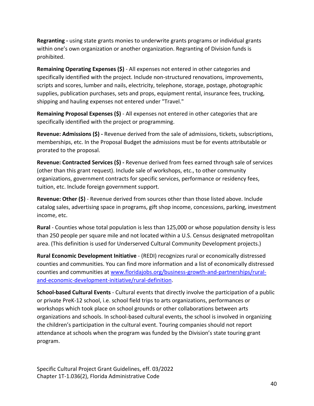**Regranting -** using state grants monies to underwrite grants programs or individual grants within one's own organization or another organization. Regranting of Division funds is prohibited.

**Remaining Operating Expenses (\$)** - All expenses not entered in other categories and specifically identified with the project. Include non-structured renovations, improvements, scripts and scores, lumber and nails, electricity, telephone, storage, postage, photographic supplies, publication purchases, sets and props, equipment rental, insurance fees, trucking, shipping and hauling expenses not entered under "Travel."

**Remaining Proposal Expenses (\$)** - All expenses not entered in other categories that are specifically identified with the project or programming.

**Revenue: Admissions (\$) -** Revenue derived from the sale of admissions, tickets, subscriptions, memberships, etc. In the Proposal Budget the admissions must be for events attributable or prorated to the proposal.

**Revenue: Contracted Services (\$) -** Revenue derived from fees earned through sale of services (other than this grant request). Include sale of workshops, etc., to other community organizations, government contracts for specific services, performance or residency fees, tuition, etc. Include foreign government support.

**Revenue: Other (\$)** - Revenue derived from sources other than those listed above. Include catalog sales, advertising space in programs, gift shop income, concessions, parking, investment income, etc.

**Rural** - Counties whose total population is less than 125,000 or whose population density is less than 250 people per square mile and not located within a U.S. Census designated metropolitan area. (This definition is used for Underserved Cultural Community Development projects.)

**Rural Economic Development Initiative** - (REDI) recognizes rural or economically distressed counties and communities. You can find more information and a list of economically distressed counties and communities at [www.floridajobs.org/business-growth-and-partnerships/rural](http://www.floridajobs.org/business-growth-and-partnerships/rural-and-economic-development-initiative/rural-definition)[and-economic-development-initiative/rural-definition.](http://www.floridajobs.org/business-growth-and-partnerships/rural-and-economic-development-initiative/rural-definition)

**School-based Cultural Events** - Cultural events that directly involve the participation of a public or private PreK-12 school, i.e. school field trips to arts organizations, performances or workshops which took place on school grounds or other collaborations between arts organizations and schools. In school-based cultural events, the school is involved in organizing the children's participation in the cultural event. Touring companies should not report attendance at schools when the program was funded by the Division's state touring grant program.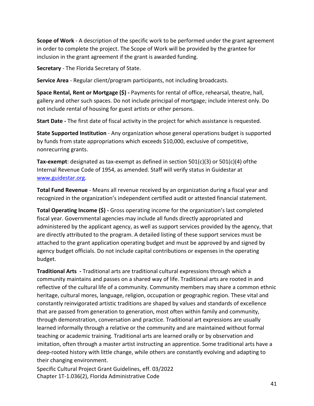**Scope of Work** - A description of the specific work to be performed under the grant agreement in order to complete the project. The Scope of Work will be provided by the grantee for inclusion in the grant agreement if the grant is awarded funding.

**Secretary** - The Florida Secretary of State.

**Service Area** - Regular client/program participants, not including broadcasts.

**Space Rental, Rent or Mortgage (\$) -** Payments for rental of office, rehearsal, theatre, hall, gallery and other such spaces. Do not include principal of mortgage; include interest only. Do not include rental of housing for guest artists or other persons.

**Start Date -** The first date of fiscal activity in the project for which assistance is requested.

**State Supported Institution** - Any organization whose general operations budget is supported by funds from state appropriations which exceeds \$10,000, exclusive of competitive, nonrecurring grants.

**Tax-exempt**: designated as tax-exempt as defined in section 501(c)(3) or 501(c)(4) ofthe Internal Revenue Code of 1954, as amended. Staff will verify status in Guidestar at [www.guidestar.org.](file://nvdos9shares01/dcashare/dcashare/RULES/2024%20Rule/GPS%20SCP/www.guidestar.org)

**Total Fund Revenue** - Means all revenue received by an organization during a fiscal year and recognized in the organization's independent certified audit or attested financial statement.

**Total Operating Income (\$) -** Gross operating income for the organization's last completed fiscal year. Governmental agencies may include all funds directly appropriated and administered by the applicant agency, as well as support services provided by the agency, that are directly attributed to the program. A detailed listing of these support services must be attached to the grant application operating budget and must be approved by and signed by agency budget officials. Do not include capital contributions or expenses in the operating budget.

<span id="page-40-0"></span>**Traditional Arts -** Traditional arts are traditional cultural expressions through which a community maintains and passes on a shared way of life. Traditional arts are rooted in and reflective of the cultural life of a community. Community members may share a common ethnic heritage, cultural mores, language, religion, occupation or geographic region. These vital and constantly reinvigorated artistic traditions are shaped by values and standards of excellence that are passed from generation to generation, most often within family and community, through demonstration, conversation and practice. Traditional art expressions are usually learned informally through a relative or the community and are maintained without formal teaching or academic training. Traditional arts are learned orally or by observation and imitation, often through a master artist instructing an apprentice. Some traditional arts have a deep-rooted history with little change, while others are constantly evolving and adapting to their changing environment.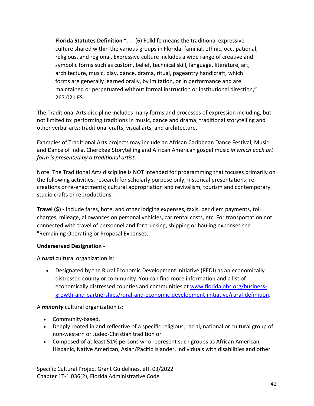**Florida Statutes Definition** ". . . (6) Folklife means the traditional expressive culture shared within the various groups in Florida: familial, ethnic, occupational, religious, and regional. Expressive culture includes a wide range of creative and symbolic forms such as custom, belief, technical skill, language, literature, art, architecture, music, play, dance, drama, ritual, pageantry handicraft, which forms are generally learned orally, by imitation, or in performance and are maintained or perpetuated without formal instruction or institutional direction," 267.021 FS.

The Traditional Arts discipline includes many forms and processes of expression including, but not limited to: performing traditions in music, dance and drama; traditional storytelling and other verbal arts; traditional crafts; visual arts; and architecture.

Examples of Traditional Arts projects may include an African Caribbean Dance Festival, Music and Dance of India, Cherokee Storytelling and African American gospel music *in which each art form is presented by a traditional artist*.

Note: The Traditional Arts discipline is NOT intended for programming that focuses primarily on the following activities: research for scholarly purpose only; historical presentations; recreations or re-enactments; cultural appropriation and revivalism, tourism and contemporary studio crafts or reproductions.

**Travel (\$) -** Include fares, hotel and other lodging expenses, taxis, per diem payments, toll charges, mileage, allowances on personal vehicles, car rental costs, etc. For transportation not connected with travel of personnel and for trucking, shipping or hauling expenses see "Remaining Operating or Proposal Expenses."

### **Underserved Designation** -

A *rural* cultural organization is:

• Designated by the Rural Economic Development Initiative (REDI) as an economically distressed county or community. You can find more information and a list of economically distressed counties and communities at [www.floridajobs.org/business](http://www.floridajobs.org/business-growth-and-partnerships/rural-and-economic-development-initiative/rural-definition)[growth-and-partnerships/rural-and-economic-development-initiative/rural-definition.](http://www.floridajobs.org/business-growth-and-partnerships/rural-and-economic-development-initiative/rural-definition)

A *minority* cultural organization is:

- Community-based,
- Deeply rooted in and reflective of a specific religious, racial, national or cultural group of non-western or Judeo-Christian tradition or
- Composed of at least 51% persons who represent such groups as African American, Hispanic, Native American, Asian/Pacific Islander, individuals with disabilities and other